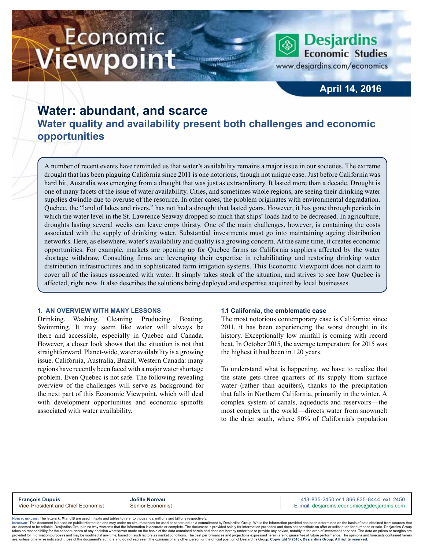# Economic ewpoint

**Desjardins Economic Studies** 

www.desjardins.com/economics

### **April 14, 2016**

## **Water: abundant, and scarce Water quality and availability present both challenges and economic opportunities**

A number of recent events have reminded us that water's availability remains a major issue in our societies. The extreme drought that has been plaguing California since 2011 is one notorious, though not unique case. Just before California was hard hit, Australia was emerging from a drought that was just as extraordinary. It lasted more than a decade. Drought is one of many facets of the issue of water availability. Cities, and sometimes whole regions, are seeing their drinking water supplies dwindle due to overuse of the resource. In other cases, the problem originates with environmental degradation. Quebec, the "land of lakes and rivers," has not had a drought that lasted years. However, it has gone through periods in which the water level in the St. Lawrence Seaway dropped so much that ships' loads had to be decreased. In agriculture, droughts lasting several weeks can leave crops thirsty. One of the main challenges, however, is containing the costs associated with the supply of drinking water. Substantial investments must go into maintaining ageing distribution networks. Here, as elsewhere, water's availability and quality is a growing concern. At the same time, it creates economic opportunities. For example, markets are opening up for Quebec farms as California suppliers affected by the water shortage withdraw. Consulting firms are leveraging their expertise in rehabilitating and restoring drinking water distribution infrastructures and in sophisticated farm irrigation systems. This Economic Viewpoint does not claim to cover all of the issues associated with water. It simply takes stock of the situation, and strives to see how Quebec is affected, right now. It also describes the solutions being deployed and expertise acquired by local businesses.

#### **1. AN OVERVIEW WITH MANY LESSONS**

Drinking. Washing. Cleaning. Producing. Boating. Swimming. It may seem like water will always be there and accessible, especially in Quebec and Canada. However, a closer look shows that the situation is not that straightforward. Planet-wide, water availability is a growing issue. California, Australia, Brazil, Western Canada: many regions have recently been faced with a major water shortage problem. Even Quebec is not safe. The following revealing overview of the challenges will serve as background for the next part of this Economic Viewpoint, which will deal with development opportunities and economic spinoffs associated with water availability.

#### **1.1 California, the emblematic case**

The most notorious contemporary case is California: since 2011, it has been experiencing the worst drought in its history. Exceptionally low rainfall is coming with record heat. In October 2015, the average temperature for 2015 was the highest it had been in 120 years.

To understand what is happening, we have to realize that the state gets three quarters of its supply from surface water (rather than aquifers), thanks to the precipitation that falls in Northern California, primarily in the winter. A complex system of canals, aqueducts and reservoirs—the most complex in the world—directs water from snowmelt to the drier south, where 80% of California's population

**François Dupuis**<br>
Vice-President and Chief Economist **Senior Economist**<br>
Vice-President and Chief Economist Senior Economist **Alta Senior According Contract Conomics** Communication Comm E-mail: desjardins.economics@desjardins.com

Noте то келоекs: The letters **k, M** and **B** are used in texts and tables to refer to thousands, millions and billions respectively.<br>Імроктлит: This document is based on public information and may under no circumstances be are deemed to be reliable. Desiardins Group in no way warrants that the information is accurate or complete. The document is provided solely for information purposes and does not constitute an offer or solicitation for pur takes no responsibility for the consequences of any decision whatsoever made on the basis of the data contained herein and does not hereby undertake to provide any advice, notably in the area of investment services. The da are, unless otherwise indicated, those of the document's authors and do not represent the opinions of any other person or the official position of Desiardins Group. Copyright @ 2016-, Desiardins Group. All rights reserved.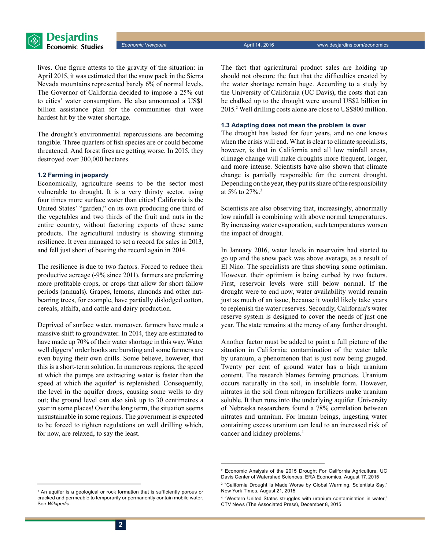

lives. One figure attests to the gravity of the situation: in April 2015, it was estimated that the snow pack in the Sierra Nevada mountains represented barely 6% of normal levels. The Governor of California decided to impose a 25% cut to cities' water consumption. He also announced a US\$1 billion assistance plan for the communities that were hardest hit by the water shortage.

The drought's environmental repercussions are becoming tangible. Three quarters of fish species are or could become threatened. And forest fires are getting worse. In 2015, they destroyed over 300,000 hectares.

#### **1.2 Farming in jeopardy**

Economically, agriculture seems to be the sector most vulnerable to drought. It is a very thirsty sector, using four times more surface water than cities! California is the United States' "garden," on its own producing one third of the vegetables and two thirds of the fruit and nuts in the entire country, without factoring exports of these same products. The agricultural industry is showing stunning resilience. It even managed to set a record for sales in 2013, and fell just short of beating the record again in 2014.

The resilience is due to two factors. Forced to reduce their productive acreage (-9% since 2011), farmers are preferring more profitable crops, or crops that allow for short fallow periods (annuals). Grapes, lemons, almonds and other nutbearing trees, for example, have partially dislodged cotton, cereals, alfalfa, and cattle and dairy production.

Deprived of surface water, moreover, farmers have made a massive shift to groundwater. In 2014, they are estimated to have made up 70% of their water shortage in this way. Water well diggers' order books are bursting and some farmers are even buying their own drills. Some believe, however, that this is a short-term solution. In numerous regions, the speed at which the pumps are extracting water is faster than the speed at which the aquifer<sup>1</sup> is replenished. Consequently, the level in the aquifer drops, causing some wells to dry out; the ground level can also sink up to 30 centimetres a year in some places! Over the long term, the situation seems unsustainable in some regions. The government is expected to be forced to tighten regulations on well drilling which, for now, are relaxed, to say the least.

The fact that agricultural product sales are holding up should not obscure the fact that the difficulties created by the water shortage remain huge. According to a study by the University of California (UC Davis), the costs that can be chalked up to the drought were around US\$2 billion in 2015.2 Well drilling costs alone are close to US\$800 million.

#### **1.3 Adapting does not mean the problem is over**

The drought has lasted for four years, and no one knows when the crisis will end. What is clear to climate specialists, however, is that in California and all low rainfall areas, climage change will make droughts more frequent, longer, and more intense. Scientists have also shown that climate change is partially responsible for the current drought. Depending on the year, they put its share of the responsibility at 5% to 27%.3

Scientists are also observing that, increasingly, abnormally low rainfall is combining with above normal temperatures. By increasing water evaporation, such temperatures worsen the impact of drought.

In January 2016, water levels in reservoirs had started to go up and the snow pack was above average, as a result of El Nino. The specialists are thus showing some optimism. However, their optimism is being curbed by two factors. First, reservoir levels were still below normal. If the drought were to end now, water availability would remain just as much of an issue, because it would likely take years to replenish the water reserves. Secondly, California's water reserve system is designed to cover the needs of just one year. The state remains at the mercy of any further drought.

Another factor must be added to paint a full picture of the situation in California: contamination of the water table by uranium, a phenomenon that is just now being gauged. Twenty per cent of ground water has a high uranium content. The research blames farming practices. Uranium occurs naturally in the soil, in insoluble form. However, nitrates in the soil from nitrogen fertilizers make uranium soluble. It then runs into the underlying aquifer. University of Nebraska researchers found a 78% correlation between nitrates and uranium. For human beings, ingesting water containing excess uranium can lead to an increased risk of cancer and kidney problems.4

<sup>2</sup> Economic Analysis of the 2015 Drought For California Agriculture, UC Davis Center of Watershed Sciences, ERA Economics, August 17, 2015

<sup>3</sup> "California Drought Is Made Worse by Global Warming, Scientists Say," New York Times, August 21, 2015

<sup>&</sup>lt;sup>1</sup> An aquifer is a geological or rock formation that is sufficiently porous or cracked and permeable to temporarily or permanently contain mobile water. See *Wikipedia*.

<sup>4</sup> "Western United States struggles with uranium contamination in water," CTV News (The Associated Press), December 8, 2015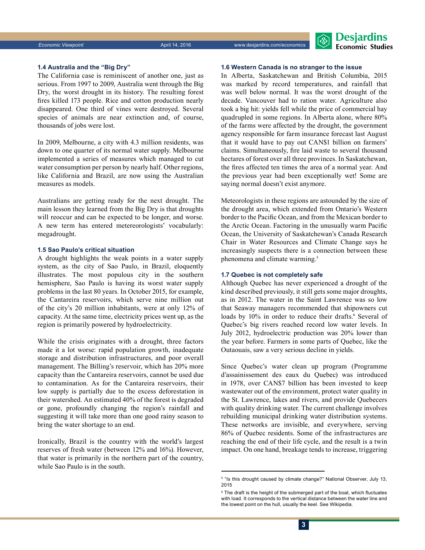

#### **1.4 Australia and the "Big Dry"**

The California case is reminiscent of another one, just as serious. From 1997 to 2009, Australia went through the Big Dry, the worst drought in its history. The resulting forest fires killed 173 people. Rice and cotton production nearly disappeared. One third of vines were destroyed. Several species of animals are near extinction and, of course, thousands of jobs were lost.

In 2009, Melbourne, a city with 4.3 million residents, was down to one quarter of its normal water supply. Melbourne implemented a series of measures which managed to cut water consumption per person by nearly half. Other regions, like California and Brazil, are now using the Australian measures as models.

Australians are getting ready for the next drought. The main lesson they learned from the Big Dry is that droughts will reoccur and can be expected to be longer, and worse. A new term has entered metereorologists' vocabularly: megadrought.

#### **1.5 Sao Paulo's critical situation**

A drought highlights the weak points in a water supply system, as the city of Sao Paulo, in Brazil, eloquently illustrates. The most populous city in the southern hemisphere, Sao Paulo is having its worst water supply problems in the last 80 years. In October 2015, for example, the Cantareira reservoirs, which serve nine million out of the city's 20 million inhabitants, were at only 12% of capacity. At the same time, electricity prices went up, as the region is primarily powered by hydroelectricity.

While the crisis originates with a drought, three factors made it a lot worse: rapid population growth, inadequate storage and distribution infrastructures, and poor overall management. The Billing's reservoir, which has 20% more capacity than the Cantareira reservoirs, cannot be used due to contamination. As for the Cantareira reservoirs, their low supply is partially due to the excess deforestation in their watershed. An estimated 40% of the forest is degraded or gone, profoundly changing the region's rainfall and suggesting it will take more than one good rainy season to bring the water shortage to an end.

Ironically, Brazil is the country with the world's largest reserves of fresh water (between 12% and 16%). However, that water is primarily in the northern part of the country, while Sao Paulo is in the south.

#### **1.6 Western Canada is no stranger to the issue**

In Alberta, Saskatchewan and British Columbia, 2015 was marked by record temperatures, and rainfall that was well below normal. It was the worst drought of the decade. Vancouver had to ration water. Agriculture also took a big hit: yields fell while the price of commercial hay quadrupled in some regions. In Alberta alone, where 80% of the farms were affected by the drought, the government agency responsible for farm insurance forecast last August that it would have to pay out CAN\$1 billion on farmers' claims. Simultaneously, fire laid waste to several thousand hectares of forest over all three provinces. In Saskatchewan, the fires affected ten times the area of a normal year. And the previous year had been exceptionally wet! Some are saying normal doesn't exist anymore.

Meteorologists in these regions are astounded by the size of the drought area, which extended from Ontario's Western border to the Pacific Ocean, and from the Mexican border to the Arctic Ocean. Factoring in the unusually warm Pacific Ocean, the University of Saskatchewan's Canada Research Chair in Water Resources and Climate Change says he increasingly suspects there is a connection between these phenomena and climate warming.<sup>5</sup>

#### **1.7 Quebec is not completely safe**

Although Quebec has never experienced a drought of the kind described previously, it still gets some major droughts, as in 2012. The water in the Saint Lawrence was so low that Seaway managers recommended that shipowners cut loads by 10% in order to reduce their drafts.<sup>6</sup> Several of Quebec's big rivers reached record low water levels. In July 2012, hydroelectric production was 20% lower than the year before. Farmers in some parts of Quebec, like the Outaouais, saw a very serious decline in yields.

Since Quebec's water clean up program (Programme d'assainissement des eaux du Quebec) was introduced in 1978, over CAN\$7 billion has been invested to keep wastewater out of the environment, protect water quality in the St. Lawrence, lakes and rivers, and provide Quebecers with quality drinking water. The current challenge involves rebuilding municipal drinking water distribution systems. These networks are invisible, and everywhere, serving 86% of Quebec residents. Some of the infrastructures are reaching the end of their life cycle, and the result is a twin impact. On one hand, breakage tends to increase, triggering

<sup>5</sup> "Is this drought caused by climate change?" National Observer, July 13, 2015

<sup>6</sup> The draft is the height of the submerged part of the boat, which fluctuates with load. It corresponds to the vertical distance between the water line and the lowest point on the hull, usually the keel. See Wikipedia.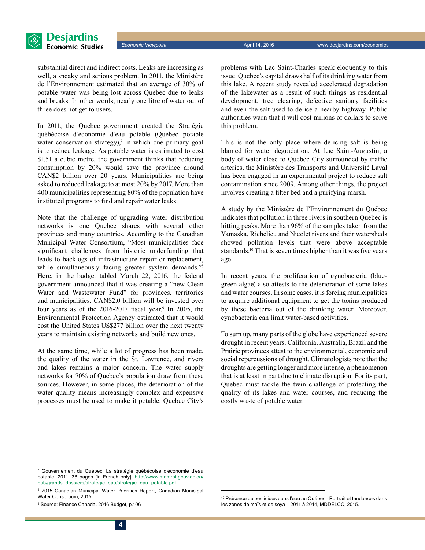

substantial direct and indirect costs. Leaks are increasing as well, a sneaky and serious problem. In 2011, the Ministère de l'Environnement estimated that an average of 30% of potable water was being lost across Quebec due to leaks and breaks. In other words, nearly one litre of water out of three does not get to users.

In 2011, the Quebec government created the Stratégie québécoise d'économie d'eau potable (Quebec potable water conservation strategy), $\theta$  in which one primary goal is to reduce leakage. As potable water is estimated to cost \$1.51 a cubic metre, the government thinks that reducing consumption by 20% would save the province around CAN\$2 billion over 20 years. Municipalities are being asked to reduced leakage to at most 20% by 2017. More than 400 municipalities representing 80% of the population have instituted programs to find and repair water leaks.

Note that the challenge of upgrading water distribution networks is one Quebec shares with several other provinces and many countries. According to the Canadian Municipal Water Consortium, "Most municipalities face significant challenges from historic underfunding that leads to backlogs of infrastructure repair or replacement, while simultaneously facing greater system demands."<sup>8</sup> Here, in the budget tabled March 22, 2016, the federal government announced that it was creating a "new Clean Water and Wastewater Fund" for provinces, territories and municipalities. CAN\$2.0 billion will be invested over four years as of the 2016-2017 fiscal year.<sup>9</sup> In 2005, the Environmental Protection Agency estimated that it would cost the United States US\$277 billion over the next twenty years to maintain existing networks and build new ones.

At the same time, while a lot of progress has been made, the quality of the water in the St. Lawrence, and rivers and lakes remains a major concern. The water supply networks for 70% of Quebec's population draw from these sources. However, in some places, the deterioration of the water quality means increasingly complex and expensive processes must be used to make it potable. Quebec City's problems with Lac Saint-Charles speak eloquently to this issue. Quebec's capital draws half of its drinking water from this lake. A recent study revealed accelerated degradation of the lakewater as a result of such things as residential development, tree clearing, defective sanitary facilities and even the salt used to de-ice a nearby highway. Public authorities warn that it will cost milions of dollars to solve this problem.

This is not the only place where de-icing salt is being blamed for water degradation. At Lac Saint-Augustin, a body of water close to Quebec City surrounded by traffic arteries, the Ministère des Transports and Université Laval has been engaged in an experimental project to reduce salt contamination since 2009. Among other things, the project involves creating a filter bed and a purifying marsh.

A study by the Ministère de l'Environnement du Québec indicates that pollution in three rivers in southern Quebec is hitting peaks. More than 96% of the samples taken from the Yamaska, Richelieu and Nicolet rivers and their watersheds showed pollution levels that were above acceptable standards.10 That is seven times higher than it was five years ago.

In recent years, the proliferation of cynobacteria (bluegreen algae) also attests to the deterioration of some lakes and water courses. In some cases, it is forcing municipalities to acquire additional equipment to get the toxins produced by these bacteria out of the drinking water. Moreover, cynobacteria can limit water-based activities.

To sum up, many parts of the globe have experienced severe drought in recent years. California, Australia, Brazil and the Prairie provinces attest to the environmental, economic and social repercussions of drought. Climatologists note that the droughts are getting longer and more intense, a phenomenon that is at least in part due to climate disruption. For its part, Quebec must tackle the twin challenge of protecting the quality of its lakes and water courses, and reducing the costly waste of potable water.

<sup>7</sup> Gouvernement du Québec, La stratégie québécoise d'économie d'eau potable, 2011, 38 pages [in French only]. http:/[/www.mamrot.gouv.qc.ca/](http://www.mamrot.gouv.qc.ca/pub/grands_dossiers/strategie_eau/strategie_eau_potable.pdf) [pub/grands\\_dossiers/strategie\\_eau/strategie\\_eau\\_potable.pdf](http://www.mamrot.gouv.qc.ca/pub/grands_dossiers/strategie_eau/strategie_eau_potable.pdf)

<sup>8</sup> 2015 Canadian Municipal Water Priorities Report, Canadian Municipal Water Consortium, 2015.

<sup>9</sup> Source: Finance Canada, 2016 Budget, p.106

<sup>&</sup>lt;sup>10</sup> Présence de pesticides dans l'eau au Québec - Portrait et tendances dans les zones de maïs et de soya – 2011 à 2014, MDDELCC, 2015.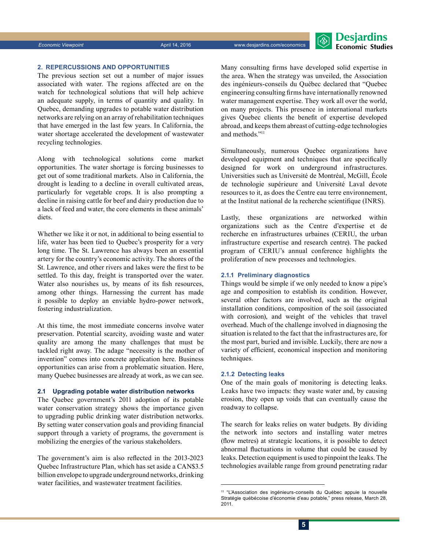#### **2. REPERCUSSIONS AND OPPORTUNITIES**

The previous section set out a number of major issues associated with water. The regions affected are on the watch for technological solutions that will help achieve an adequate supply, in terms of quantity and quality. In Quebec, demanding upgrades to potable water distribution networks are relying on an array of rehabilitation techniques that have emerged in the last few years. In California, the water shortage accelerated the development of wastewater recycling technologies.

Along with technological solutions come market opportunities. The water shortage is forcing businesses to get out of some traditional markets. Also in California, the drought is leading to a decline in overall cultivated areas, particularly for vegetable crops. It is also prompting a decline in raising cattle for beef and dairy production due to a lack of feed and water, the core elements in these animals' diets.

Whether we like it or not, in additional to being essential to life, water has been tied to Quebec's prosperity for a very long time. The St. Lawrence has always been an essential artery for the country's economic activity. The shores of the St. Lawrence, and other rivers and lakes were the first to be settled. To this day, freight is transported over the water. Water also nourishes us, by means of its fish resources, among other things. Harnessing the current has made it possible to deploy an enviable hydro-power network, fostering industrialization.

At this time, the most immediate concerns involve water preservation. Potential scarcity, avoiding waste and water quality are among the many challenges that must be tackled right away. The adage "necessity is the mother of invention" comes into concrete application here. Business opportunities can arise from a problematic situation. Here, many Quebec businesses are already at work, as we can see.

#### **2.1 Upgrading potable water distribution networks**

The Quebec government's 2011 adoption of its potable water conservation strategy shows the importance given to upgrading public drinking water distribution networks. By setting water conservation goals and providing financial support through a variety of programs, the government is mobilizing the energies of the various stakeholders.

The government's aim is also reflected in the 2013-2023 Quebec Infrastructure Plan, which has set aside a CAN\$3.5 billion envelope to upgrade underground networks, drinking water facilities, and wastewater treatment facilities.

Many consulting firms have developed solid expertise in the area. When the strategy was unveiled, the Association des ingénieurs-conseils du Québec declared that "Quebec engineering consulting firms have internationally renowned water management expertise. They work all over the world, on many projects. This presence in international markets gives Quebec clients the benefit of expertise developed abroad, and keeps them abreast of cutting-edge technologies and methods."11

Simultaneously, numerous Quebec organizations have developed equipment and techniques that are specifically designed for work on underground infrastructures. Universities such as Université de Montréal, McGill, École de technologie supérieure and Université Laval devote resources to it, as does the Centre eau terre environnement, at the Institut national de la recherche scientifique (INRS).

Lastly, these organizations are networked within organizations such as the Centre d'expertise et de recherche en infrastructures urbaines (CERIU, the urban infrastructure expertise and research centre). The packed program of CERIU's annual conference highlights the proliferation of new processes and technologies.

#### **2.1.1 Preliminary diagnostics**

Things would be simple if we only needed to know a pipe's age and composition to establish its condition. However, several other factors are involved, such as the original installation conditions, composition of the soil (associated with corrosion), and weight of the vehicles that travel overhead. Much of the challenge involved in diagnosing the situation is related to the fact that the infrastructures are, for the most part, buried and invisible. Luckily, there are now a variety of efficient, economical inspection and monitoring techniques.

#### **2.1.2 Detecting leaks**

One of the main goals of monitoring is detecting leaks. Leaks have two impacts: they waste water and, by causing erosion, they open up voids that can eventually cause the roadway to collapse.

The search for leaks relies on water budgets. By dividing the network into sectors and installing water metres (flow metres) at strategic locations, it is possible to detect abnormal fluctuations in volume that could be caused by leaks. Detection equipment is used to pinpoint the leaks. The technologies available range from ground penetrating radar

<sup>11</sup> "L'Association des ingénieurs-conseils du Québec appuie la nouvelle Stratégie québécoise d'économie d'eau potable," press release, March 28, 2011.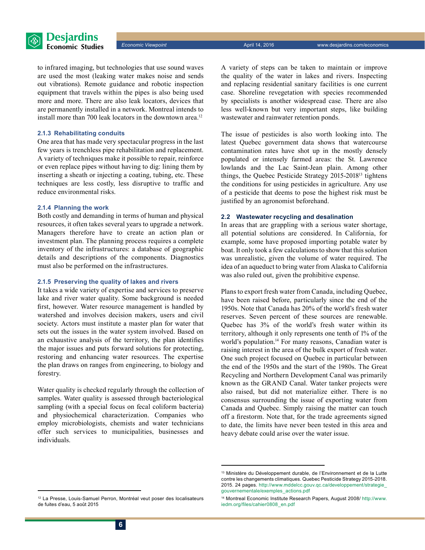

to infrared imaging, but technologies that use sound waves are used the most (leaking water makes noise and sends out vibrations). Remote guidance and robotic inspection equipment that travels within the pipes is also being used more and more. There are also leak locators, devices that are permanently installed in a network. Montreal intends to install more than 700 leak locators in the downtown area.<sup>12</sup>

#### **2.1.3 Rehabilitating conduits**

One area that has made very spectacular progress in the last few years is trenchless pipe rehabilitation and replacement. A variety of techniques make it possible to repair, reinforce or even replace pipes without having to dig: lining them by inserting a sheath or injecting a coating, tubing, etc. These techniques are less costly, less disruptive to traffic and reduce environmental risks.

#### **2.1.4 Planning the work**

Both costly and demanding in terms of human and physical resources, it often takes several years to upgrade a network. Managers therefore have to create an action plan or investment plan. The planning process requires a complete inventory of the infrastructures: a database of geographic details and descriptions of the components. Diagnostics must also be performed on the infrastructures.

#### **2.1.5 Preserving the quality of lakes and rivers**

It takes a wide variety of expertise and services to preserve lake and river water quality. Some background is needed first, however. Water resource management is handled by watershed and involves decision makers, users and civil society. Actors must institute a master plan for water that sets out the issues in the water system involved. Based on an exhaustive analysis of the territory, the plan identifies the major issues and puts forward solutions for protecting, restoring and enhancing water resources. The expertise the plan draws on ranges from engineering, to biology and forestry.

Water quality is checked regularly through the collection of samples. Water quality is assessed through bacteriological sampling (with a special focus on fecal coliform bacteria) and physiochemical characterization. Companies who employ microbiologists, chemists and water technicians offer such services to municipalities, businesses and individuals.

A variety of steps can be taken to maintain or improve the quality of the water in lakes and rivers. Inspecting and replacing residential sanitary facilities is one current case. Shoreline revegetation with species recommended by specialists is another widespread case. There are also less well-known but very important steps, like building wastewater and rainwater retention ponds.

The issue of pesticides is also worth looking into. The latest Quebec government data shows that watercourse contamination rates have shot up in the mostly densely populated or intensely farmed areas: the St. Lawrence lowlands and the Lac Saint-Jean plain. Among other things, the Quebec Pesticide Strategy 2015-201813 tightens the conditions for using pesticides in agriculture. Any use of a pesticide that deems to pose the highest risk must be justified by an agronomist beforehand.

#### **2.2 Wastewater recycling and desalination**

In areas that are grappling with a serious water shortage, all potential solutions are considered. In California, for example, some have proposed importing potable water by boat. It only took a few calculations to show that this solution was unrealistic, given the volume of water required. The idea of an aqueduct to bring water from Alaska to California was also ruled out, given the prohibitive expense.

Plans to export fresh water from Canada, including Quebec, have been raised before, particularly since the end of the 1950s. Note that Canada has 20% of the world's fresh water reserves. Seven percent of these sources are renewable. Quebec has 3% of the world's fresh water within its territory, although it only represents one tenth of 1% of the world's population.<sup>14</sup> For many reasons, Canadian water is raising interest in the area of the bulk export of fresh water. One such project focused on Quebec in particular between the end of the 1950s and the start of the 1980s. The Great Recycling and Northern Development Canal was primarily known as the GRAND Canal. Water tanker projects were also raised, but did not materialize either. There is no consensus surrounding the issue of exporting water from Canada and Quebec. Simply raising the matter can touch off a firestorm. Note that, for the trade agreements signed to date, the limits have never been tested in this area and heavy debate could arise over the water issue.

<sup>13</sup> Ministère du Développement durable, de l'Environnement et de la Lutte contre les changements climatiques. Quebec Pesticide Strategy 2015-2018. 2015. 24 pages. http:/[/www.mddelcc.gouv.qc.ca/developpement/strategie\\_](http://www.mddelcc.gouv.qc.ca/developpement/strategie_gouvernementale/exemples_actions.pdf
) [gouvernementale/exemples\\_actions.pdf](http://www.mddelcc.gouv.qc.ca/developpement/strategie_gouvernementale/exemples_actions.pdf
)

<sup>12</sup> La Presse, Louis-Samuel Perron, Montréal veut poser des localisateurs de fuites d'eau, 5 août 2015

<sup>14</sup> Montreal Economic Institute Research Papers, August 2008/ http://[www.](http://www.iedm.org/files/cahier0808_en.pdf) [iedm.org/files/cahier0808\\_en.pdf](http://www.iedm.org/files/cahier0808_en.pdf)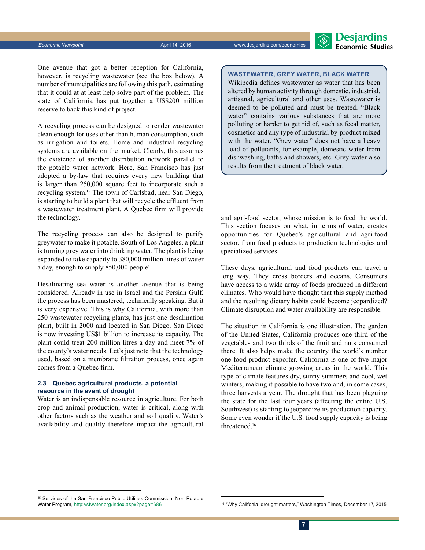

One avenue that got a better reception for California, however, is recycling wastewater (see the box below). A number of municipalities are following this path, estimating that it could at at least help solve part of the problem. The state of California has put together a US\$200 million reserve to back this kind of project.

A recycling process can be designed to render wastewater clean enough for uses other than human consumption, such as irrigation and toilets. Home and industrial recycling systems are available on the market. Clearly, this assumes the existence of another distribution network parallel to the potable water network. Here, San Francisco has just adopted a by-law that requires every new building that is larger than 250,000 square feet to incorporate such a recycling system.15 The town of Carlsbad, near San Diego, is starting to build a plant that will recycle the effluent from a wastewater treatment plant. A Quebec firm will provide the technology.

The recycling process can also be designed to purify greywater to make it potable. South of Los Angeles, a plant is turning grey water into drinking water. The plant is being expanded to take capacity to 380,000 million litres of water a day, enough to supply 850,000 people!

Desalinating sea water is another avenue that is being considered. Already in use in Israel and the Persian Gulf, the process has been mastered, technically speaking. But it is very expensive. This is why California, with more than 250 wastewater recycling plants, has just one desalination plant, built in 2000 and located in San Diego. San Diego is now investing US\$1 billion to increase its capacity. The plant could treat 200 million litres a day and meet 7% of the county's water needs. Let's just note that the technology used, based on a membrane filtration process, once again comes from a Quebec firm.

#### **2.3 Quebec agricultural products, a potential resource in the event of drought**

Water is an indispensable resource in agriculture. For both crop and animal production, water is critical, along with other factors such as the weather and soil quality. Water's availability and quality therefore impact the agricultural

#### **Wastewater, grey water, black water**

Wikipedia defines wastewater as water that has been altered by human activity through domestic, industrial, artisanal, agricultural and other uses. Wastewater is deemed to be polluted and must be treated. "Black water" contains various substances that are more polluting or harder to get rid of, such as fecal matter, cosmetics and any type of industrial by-product mixed with the water. "Grey water" does not have a heavy load of pollutants, for example, domestic water from dishwashing, baths and showers, etc. Grey water also results from the treatment of black water.

and agri-food sector, whose mission is to feed the world. This section focuses on what, in terms of water, creates opportunities for Quebec's agricultural and agri-food sector, from food products to production technologies and specialized services.

These days, agricultural and food products can travel a long way. They cross borders and oceans. Consumers have access to a wide array of foods produced in different climates. Who would have thought that this supply method and the resulting dietary habits could become jeopardized? Climate disruption and water availability are responsible.

The situation in California is one illustration. The garden of the United States, California produces one third of the vegetables and two thirds of the fruit and nuts consumed there. It also helps make the country the world's number one food product exporter. California is one of five major Mediterranean climate growing areas in the world. This type of climate features dry, sunny summers and cool, wet winters, making it possible to have two and, in some cases, three harvests a year. The drought that has been plaguing the state for the last four years (affecting the entire U.S. Southwest) is starting to jeopardize its production capacity. Some even wonder if the U.S. food supply capacity is being threatened.16

<sup>&</sup>lt;sup>15</sup> Services of the San Francisco Public Utilities Commission, Non-Potable<br>Water Program, http://sfwater.org/index.aspx?page=686

<sup>16 &</sup>quot;Why Califonia drought matters," Washington Times, December 17, 2015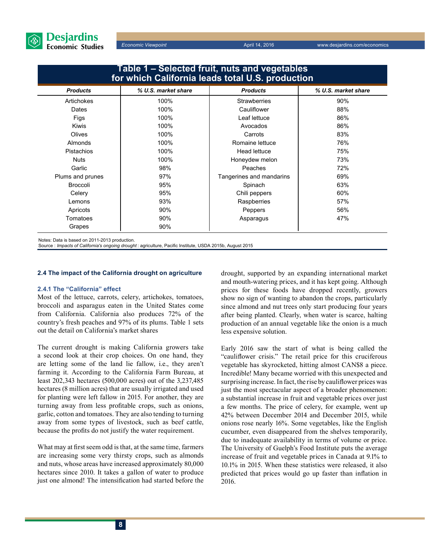

| Table 1 – Selected fruit, nuts and vegetables<br>for which California leads total U.S. production |                     |                          |                     |
|---------------------------------------------------------------------------------------------------|---------------------|--------------------------|---------------------|
| <b>Products</b>                                                                                   | % U.S. market share | <b>Products</b>          | % U.S. market share |
| Artichokes                                                                                        | 100%                | <b>Strawberries</b>      | 90%                 |
| Dates                                                                                             | 100%                | Cauliflower              | 88%                 |
| Figs                                                                                              | 100%                | Leaf lettuce             | 86%                 |
| <b>Kiwis</b>                                                                                      | 100%                | Avocados                 | 86%                 |
| <b>Olives</b>                                                                                     | 100%                | Carrots                  | 83%                 |
| <b>Almonds</b>                                                                                    | 100%                | Romaine lettuce          | 76%                 |
| <b>Pistachios</b>                                                                                 | 100%                | Head lettuce             | 75%                 |
| <b>Nuts</b>                                                                                       | 100%                | Honeydew melon           | 73%                 |
| Garlic                                                                                            | 98%                 | Peaches                  | 72%                 |
| Plums and prunes                                                                                  | 97%                 | Tangerines and mandarins | 69%                 |
| <b>Broccoli</b>                                                                                   | 95%                 | Spinach                  | 63%                 |
| Celery                                                                                            | 95%                 | Chili peppers            | 60%                 |
| Lemons                                                                                            | 93%                 | Raspberries              | 57%                 |
| Apricots                                                                                          | $90\%$              | Peppers                  | 56%                 |
| Tomatoes                                                                                          | $90\%$              | Asparagus                | 47%                 |
| Grapes                                                                                            | 90%                 |                          |                     |

Notes: Data is based on 2011-2013 production.

Source : *Impacts of California's ongoing drought* : agriculture, Pacific Institute, USDA 2015b, August 2015

#### **2.4 The impact of the California drought on agriculture**

#### **2.4.1 The "California" effect**

Most of the lettuce, carrots, celery, artichokes, tomatoes, broccoli and asparagus eaten in the United States come from California. California also produces 72% of the country's fresh peaches and 97% of its plums. Table 1 sets out the detail on California's market shares

The current drought is making California growers take a second look at their crop choices. On one hand, they are letting some of the land lie fallow, i.e., they aren't farming it. According to the California Farm Bureau, at least 202,343 hectares (500,000 acres) out of the 3,237,485 hectares (8 million acres) that are usually irrigated and used for planting were left fallow in 2015. For another, they are turning away from less profitable crops, such as onions, garlic, cotton and tomatoes. They are also tending to turning away from some types of livestock, such as beef cattle, because the profits do not justify the water requirement.

What may at first seem odd is that, at the same time, farmers are increasing some very thirsty crops, such as almonds and nuts, whose areas have increased approximately 80,000 hectares since 2010. It takes a gallon of water to produce just one almond! The intensification had started before the drought, supported by an expanding international market and mouth-watering prices, and it has kept going. Although prices for these foods have dropped recently, growers show no sign of wanting to abandon the crops, particularly since almond and nut trees only start producing four years after being planted. Clearly, when water is scarce, halting production of an annual vegetable like the onion is a much less expensive solution.

Early 2016 saw the start of what is being called the "cauliflower crisis." The retail price for this cruciferous vegetable has skyrocketed, hitting almost CAN\$8 a piece. Incredible! Many became worried with this unexpected and surprising increase. In fact, the rise by cauliflower prices was just the most spectacular aspect of a broader phenomenon: a substantial increase in fruit and vegetable prices over just a few months. The price of celery, for example, went up 42% between December 2014 and December 2015, while onions rose nearly 16%. Some vegetables, like the English cucumber, even disappeared from the shelves temporarily, due to inadequate availability in terms of volume or price. The University of Guelph's Food Institute puts the average increase of fruit and vegetable prices in Canada at 9.1% to 10.1% in 2015. When these statistics were released, it also predicted that prices would go up faster than inflation in 2016.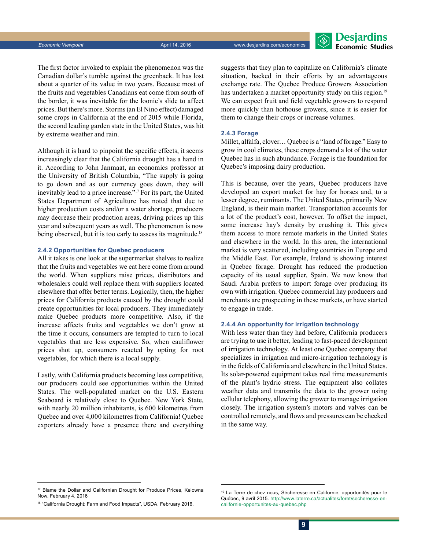

The first factor invoked to explain the phenomenon was the Canadian dollar's tumble against the greenback. It has lost about a quarter of its value in two years. Because most of the fruits and vegetables Canadians eat come from south of the border, it was inevitable for the loonie's slide to affect prices. But there's more. Storms (an El Nino effect) damaged some crops in California at the end of 2015 while Florida, the second leading garden state in the United States, was hit by extreme weather and rain.

Although it is hard to pinpoint the specific effects, it seems increasingly clear that the California drought has a hand in it. According to John Janmaat, an economics professor at the University of British Columbia, "The supply is going to go down and as our currency goes down, they will inevitably lead to a price increase."17 For its part, the United States Department of Agriculture has noted that due to higher production costs and/or a water shortage, producers may decrease their production areas, driving prices up this year and subsequent years as well. The phenomenon is now being observed, but it is too early to assess its magnitude.<sup>18</sup>

#### **2.4.2 Opportunities for Quebec producers**

All it takes is one look at the supermarket shelves to realize that the fruits and vegetables we eat here come from around the world. When suppliers raise prices, distributors and wholesalers could well replace them with suppliers located elsewhere that offer better terms. Logically, then, the higher prices for California products caused by the drought could create opportunities for local producers. They immediately make Quebec products more competitive. Also, if the increase affects fruits and vegetables we don't grow at the time it occurs, consumers are tempted to turn to local vegetables that are less expensive. So, when cauliflower prices shot up, consumers reacted by opting for root vegetables, for which there is a local supply.

Lastly, with California products becoming less competitive, our producers could see opportunities within the United States. The well-populated market on the U.S. Eastern Seaboard is relatively close to Quebec. New York State, with nearly 20 million inhabitants, is 600 kilometres from Quebec and over 4,000 kilometres from California! Quebec exporters already have a presence there and everything suggests that they plan to capitalize on California's climate situation, backed in their efforts by an advantageous exchange rate. The Quebec Produce Growers Association has undertaken a market opportunity study on this region.<sup>19</sup> We can expect fruit and field vegetable growers to respond more quickly than hothouse growers, since it is easier for them to change their crops or increase volumes.

#### **2.4.3 Forage**

Millet, alfalfa, clover… Quebec is a "land of forage." Easy to grow in cool climates, these crops demand a lot of the water Quebec has in such abundance. Forage is the foundation for Quebec's imposing dairy production.

This is because, over the years, Quebec producers have developed an export market for hay for horses and, to a lesser degree, ruminants. The United States, primarily New England, is their main market. Transportation accounts for a lot of the product's cost, however. To offset the impact, some increase hay's density by crushing it. This gives them access to more remote markets in the United States and elsewhere in the world. In this area, the international market is very scattered, including countries in Europe and the Middle East. For example, Ireland is showing interest in Quebec forage. Drought has reduced the production capacity of its usual supplier, Spain. We now know that Saudi Arabia prefers to import forage over producing its own with irrigation. Quebec commercial hay producers and merchants are prospecting in these markets, or have started to engage in trade.

#### **2.4.4 An opportunity for irrigation technology**

With less water than they had before, California producers are trying to use it better, leading to fast-paced development of irrigation technology. At least one Quebec company that specializes in irrigation and micro-irrigation technology is in the fields of California and elsewhere in the United States. Its solar-powered equipment takes real time measurements of the plant's hydric stress. The equipment also collates weather data and transmits the data to the grower using cellular telephony, allowing the grower to manage irrigation closely. The irrigation system's motors and valves can be controlled remotely, and flows and pressures can be checked in the same way.

<sup>&</sup>lt;sup>17</sup> Blame the Dollar and Californian Drought for Produce Prices, Kelowna Now, February 4, 2016

<sup>&</sup>lt;sup>18</sup> "California Drought: Farm and Food Impacts", USDA, February 2016.

<sup>&</sup>lt;sup>19</sup> La Terre de chez nous, Sécheresse en Californie, opportunités pour le Québec, 9 avril 2015. http://[www.laterre.ca/actualites/foret/secheresse-en](http://www.laterre.ca/actualites/foret/secheresse-en-californie-opportunites-au-quebec.php)[californie-opportunites-au-quebec.php](http://www.laterre.ca/actualites/foret/secheresse-en-californie-opportunites-au-quebec.php)